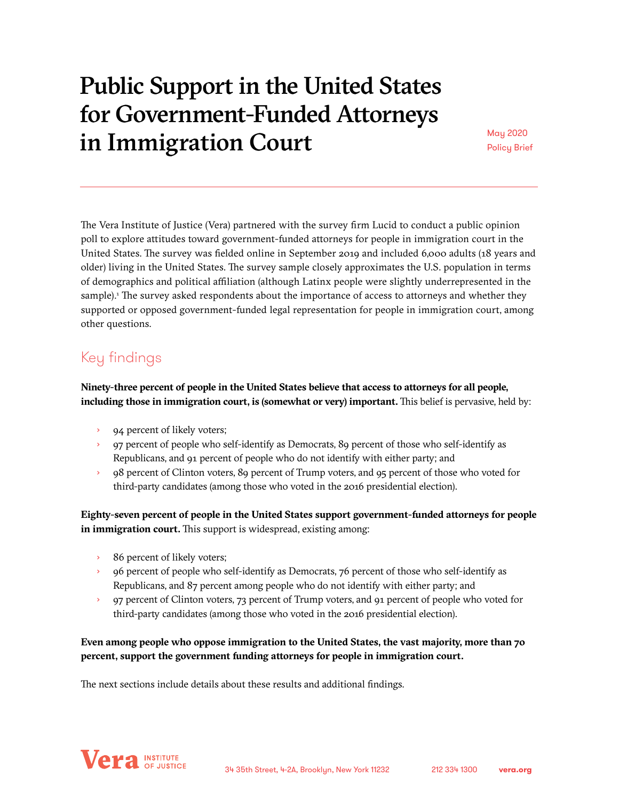# Public Support in the United States for Government-Funded Attorneys in Immigration Court May 2020

Policy Brief

The Vera Institute of Justice (Vera) partnered with the survey firm Lucid to conduct a public opinion poll to explore attitudes toward government-funded attorneys for people in immigration court in the United States. The survey was fielded online in September 2019 and included 6,000 adults (18 years and older) living in the United States. The survey sample closely approximates the U.S. population in terms of demographics and political affiliation (although Latinx people were slightly underrepresented in the sample).<sup>1</sup> The survey asked respondents about the importance of access to attorneys and whether they supported or opposed government-funded legal representation for people in immigration court, among other questions.

# Key findings

**Ninety-three percent of people in the United States believe that access to attorneys for all people, including those in immigration court, is (somewhat or very) important.** This belief is pervasive, held by:

- 94 percent of likely voters;
- › 97 percent of people who self-identify as Democrats, 89 percent of those who self-identify as Republicans, and 91 percent of people who do not identify with either party; and
- 98 percent of Clinton voters, 89 percent of Trump voters, and 95 percent of those who voted for third-party candidates (among those who voted in the 2016 presidential election).

**Eighty-seven percent of people in the United States support government-funded attorneys for people in immigration court.** This support is widespread, existing among:

- 86 percent of likely voters;
- › 96 percent of people who self-identify as Democrats, 76 percent of those who self-identify as Republicans, and 87 percent among people who do not identify with either party; and
- › 97 percent of Clinton voters, 73 percent of Trump voters, and 91 percent of people who voted for third-party candidates (among those who voted in the 2016 presidential election).

# **Even among people who oppose immigration to the United States, the vast majority, more than 70 percent, support the government funding attorneys for people in immigration court.**

The next sections include details about these results and additional findings.

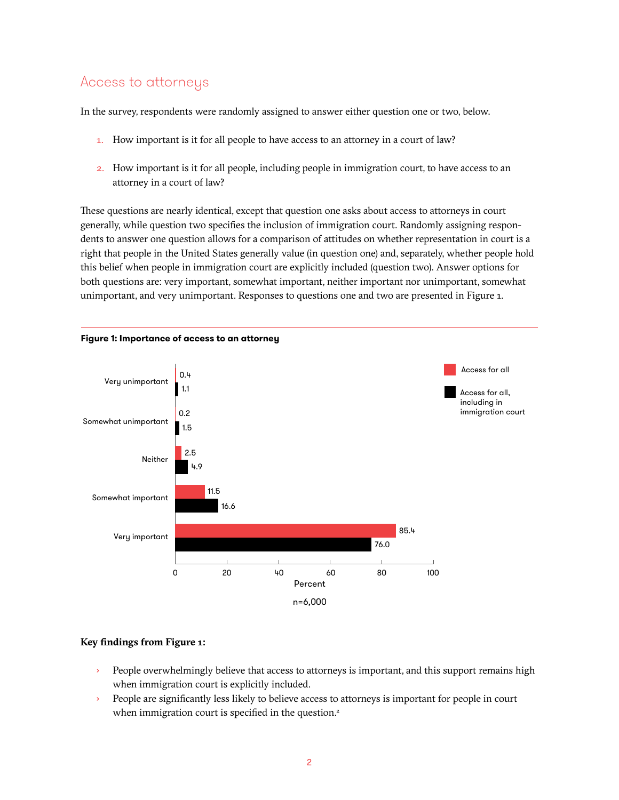# Access to attorneys

In the survey, respondents were randomly assigned to answer either question one or two, below.

- 1. How important is it for all people to have access to an attorney in a court of law?
- 2. How important is it for all people, including people in immigration court, to have access to an attorney in a court of law?

These questions are nearly identical, except that question one asks about access to attorneys in court generally, while question two specifies the inclusion of immigration court. Randomly assigning respondents to answer one question allows for a comparison of attitudes on whether representation in court is a right that people in the United States generally value (in question one) and, separately, whether people hold this belief when people in immigration court are explicitly included (question two). Answer options for both questions are: very important, somewhat important, neither important nor unimportant, somewhat unimportant, and very unimportant. Responses to questions one and two are presented in Figure 1.



# **Key findings from Figure 1:**

- People overwhelmingly believe that access to attorneys is important, and this support remains high when immigration court is explicitly included.
- › People are significantly less likely to believe access to attorneys is important for people in court when immigration court is specified in the question.<sup>2</sup>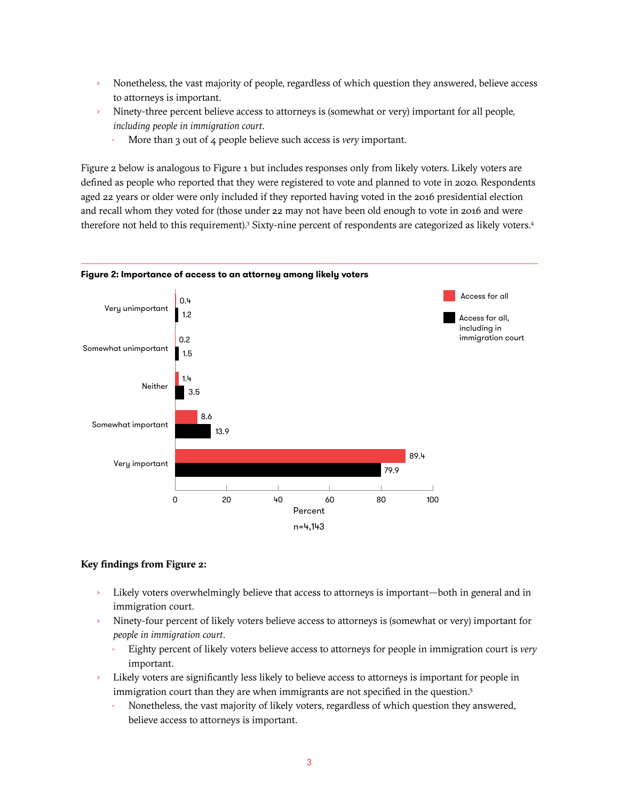- › Nonetheless, the vast majority of people, regardless of which question they answered, believe access to attorneys is important.
- › Ninety-three percent believe access to attorneys is (somewhat or very) important for all people, *including people in immigration court*.
	- More than 3 out of 4 people believe such access is *very* important.

Figure 2 below is analogous to Figure 1 but includes responses only from likely voters. Likely voters are defined as people who reported that they were registered to vote and planned to vote in 2020. Respondents aged 22 years or older were only included if they reported having voted in the 2016 presidential election and recall whom they voted for (those under 22 may not have been old enough to vote in 2016 and were therefore not held to this requirement).<sup>3</sup> Sixty-nine percent of respondents are categorized as likely voters.<sup>4</sup>



### **Key findings from Figure 2:**

- › Likely voters overwhelmingly believe that access to attorneys is important—both in general and in immigration court.
- Ninety-four percent of likely voters believe access to attorneys is (somewhat or very) important for *people in immigration court*.
	- Eighty percent of likely voters believe access to attorneys for people in immigration court is *very* important.
- › Likely voters are significantly less likely to believe access to attorneys is important for people in immigration court than they are when immigrants are not specified in the question.<sup>5</sup>
	- Nonetheless, the vast majority of likely voters, regardless of which question they answered, believe access to attorneys is important.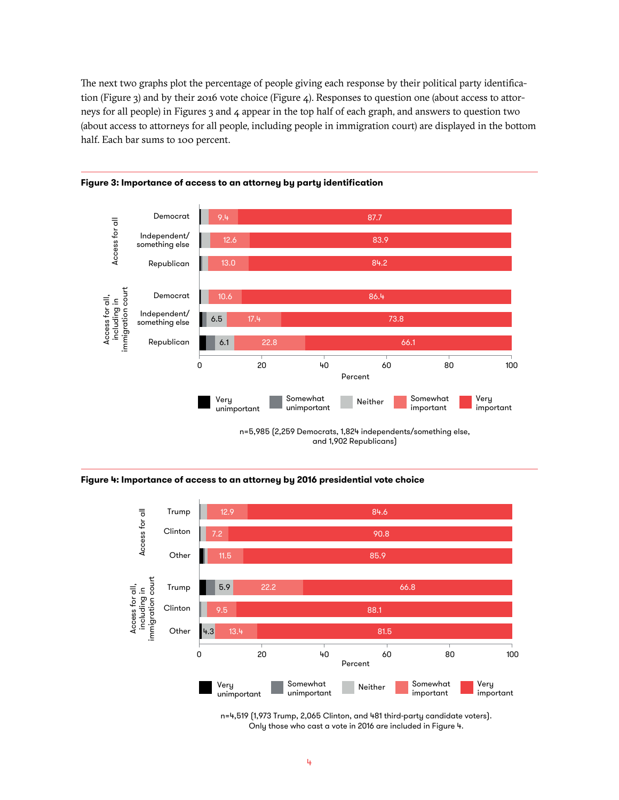The next two graphs plot the percentage of people giving each response by their political party identification (Figure 3) and by their 2016 vote choice (Figure 4). Responses to question one (about access to attorneys for all people) in Figures 3 and 4 appear in the top half of each graph, and answers to question two (about access to attorneys for all people, including people in immigration court) are displayed in the bottom half. Each bar sums to 100 percent.



### **Figure 3: Importance of access to an attorney by party identification**





n=4,519 (1,973 Trump, 2,065 Clinton, and 481 third-party candidate voters). Only those who cast a vote in 2016 are included in Figure 4.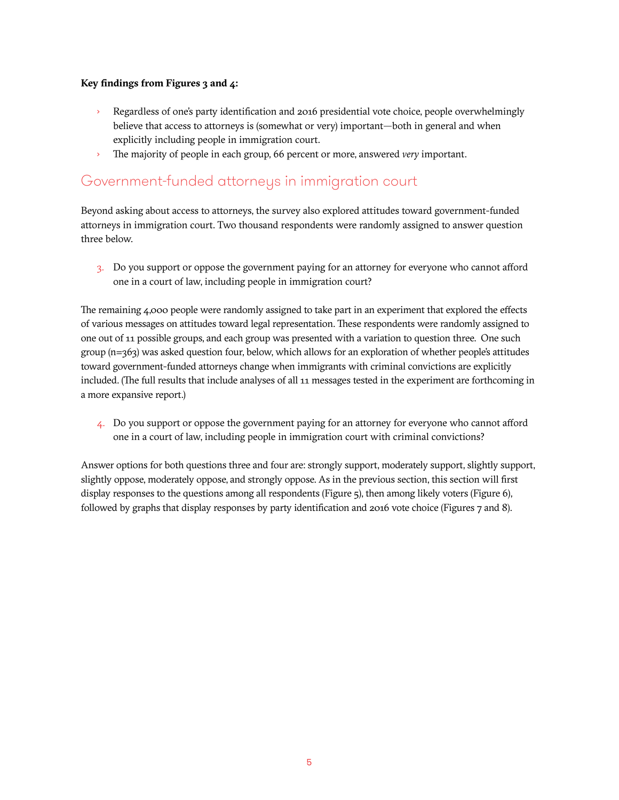## **Key findings from Figures 3 and 4:**

- › Regardless of one's party identification and 2016 presidential vote choice, people overwhelmingly believe that access to attorneys is (somewhat or very) important—both in general and when explicitly including people in immigration court.
- › The majority of people in each group, 66 percent or more, answered *very* important.

# Government-funded attorneys in immigration court

Beyond asking about access to attorneys, the survey also explored attitudes toward government-funded attorneys in immigration court. Two thousand respondents were randomly assigned to answer question three below.

3. Do you support or oppose the government paying for an attorney for everyone who cannot afford one in a court of law, including people in immigration court?

The remaining 4,000 people were randomly assigned to take part in an experiment that explored the effects of various messages on attitudes toward legal representation. These respondents were randomly assigned to one out of 11 possible groups, and each group was presented with a variation to question three. One such group (n=363) was asked question four, below, which allows for an exploration of whether people's attitudes toward government-funded attorneys change when immigrants with criminal convictions are explicitly included. (The full results that include analyses of all 11 messages tested in the experiment are forthcoming in a more expansive report.)

4. Do you support or oppose the government paying for an attorney for everyone who cannot afford one in a court of law, including people in immigration court with criminal convictions?

Answer options for both questions three and four are: strongly support, moderately support, slightly support, slightly oppose, moderately oppose, and strongly oppose. As in the previous section, this section will first display responses to the questions among all respondents (Figure 5), then among likely voters (Figure 6), followed by graphs that display responses by party identification and 2016 vote choice (Figures 7 and 8).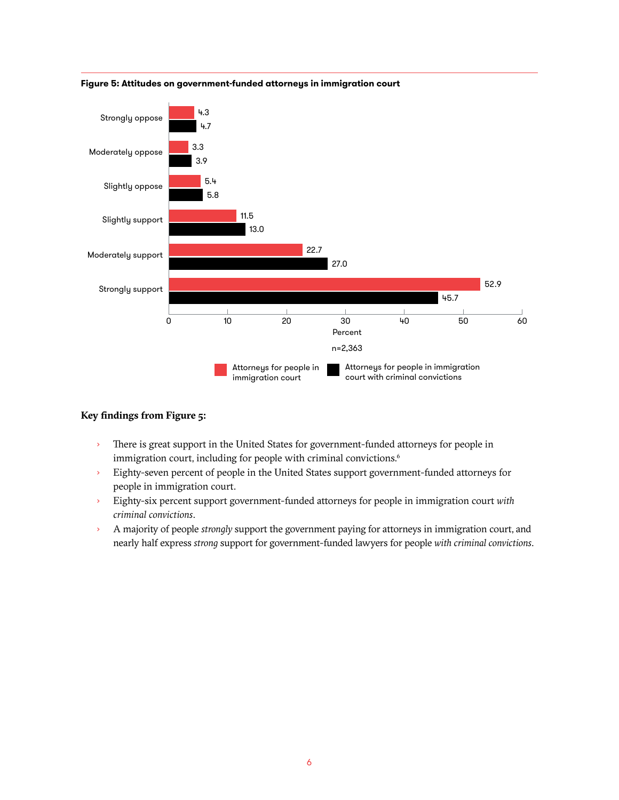

### **Figure 5: Attitudes on government-funded attorneys in immigration court**

### **Key findings from Figure 5:**

- › There is great support in the United States for government-funded attorneys for people in immigration court, including for people with criminal convictions.<sup>6</sup>
- › Eighty-seven percent of people in the United States support government-funded attorneys for people in immigration court.
- › Eighty-six percent support government-funded attorneys for people in immigration court *with criminal convictions*.
- › A majority of people *strongly* support the government paying for attorneys in immigration court, and nearly half express *strong* support for government-funded lawyers for people *with criminal convictions*.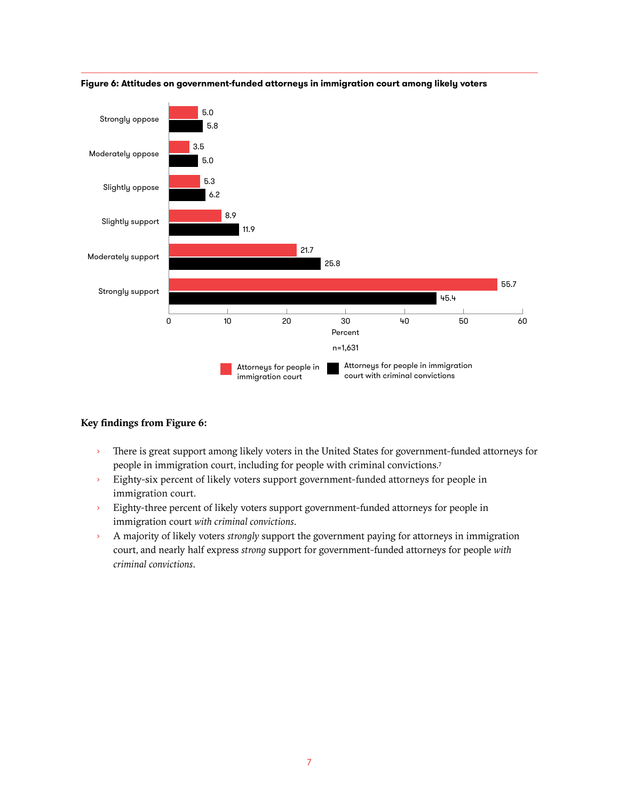

**Figure 6: Attitudes on government-funded attorneys in immigration court among likely voters**

### **Key findings from Figure 6:**

- There is great support among likely voters in the United States for government-funded attorneys for people in immigration court, including for people with criminal convictions.7
- › Eighty-six percent of likely voters support government-funded attorneys for people in immigration court.
- › Eighty-three percent of likely voters support government-funded attorneys for people in immigration court *with criminal convictions*.
- › A majority of likely voters *strongly* support the government paying for attorneys in immigration court, and nearly half express *strong* support for government-funded attorneys for people *with criminal convictions*.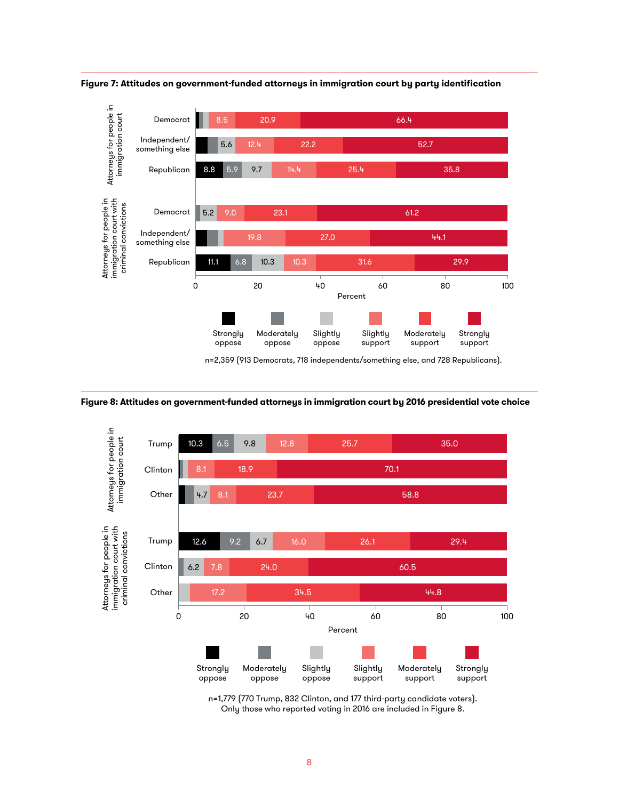

**Figure 7: Attitudes on government-funded attorneys in immigration court by party identification**





n=1,779 (770 Trump, 832 Clinton, and 177 third-party candidate voters). Only those who reported voting in 2016 are included in Figure 8.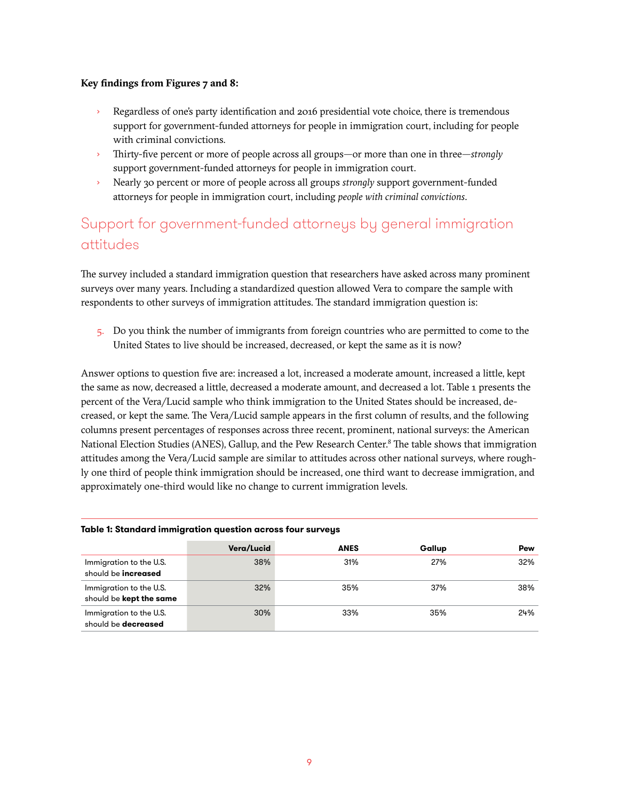### **Key findings from Figures 7 and 8:**

- Regardless of one's party identification and 2016 presidential vote choice, there is tremendous support for government-funded attorneys for people in immigration court, including for people with criminal convictions.
- › Thirty-five percent or more of people across all groups—or more than one in three—*strongly* support government-funded attorneys for people in immigration court.
- › Nearly 30 percent or more of people across all groups *strongly* support government-funded attorneys for people in immigration court, including *people with criminal convictions*.

# Support for government-funded attorneys by general immigration attitudes

The survey included a standard immigration question that researchers have asked across many prominent surveys over many years. Including a standardized question allowed Vera to compare the sample with respondents to other surveys of immigration attitudes. The standard immigration question is:

5. Do you think the number of immigrants from foreign countries who are permitted to come to the United States to live should be increased, decreased, or kept the same as it is now?

Answer options to question five are: increased a lot, increased a moderate amount, increased a little, kept the same as now, decreased a little, decreased a moderate amount, and decreased a lot. Table 1 presents the percent of the Vera/Lucid sample who think immigration to the United States should be increased, decreased, or kept the same. The Vera/Lucid sample appears in the first column of results, and the following columns present percentages of responses across three recent, prominent, national surveys: the American National Election Studies (ANES), Gallup, and the Pew Research Center.<sup>8</sup> The table shows that immigration attitudes among the Vera/Lucid sample are similar to attitudes across other national surveys, where roughly one third of people think immigration should be increased, one third want to decrease immigration, and approximately one-third would like no change to current immigration levels.

| Table 1: Standard immigration question across four surveys |            |      |        |     |  |  |  |
|------------------------------------------------------------|------------|------|--------|-----|--|--|--|
|                                                            | Vera/Lucid | ANES | Gallup | Pew |  |  |  |
| Immigration to the U.S.<br>should be <b>increased</b>      | 38%        | 31%  | 27%    | 32% |  |  |  |
| Immigration to the U.S.<br>should be kept the same         | 32%        | 35%  | 37%    | 38% |  |  |  |
| Immigration to the U.S.<br>should be decreased             | 30%        | 33%  | 35%    | 24% |  |  |  |

### **Table 1: Standard immigration question across four surveys**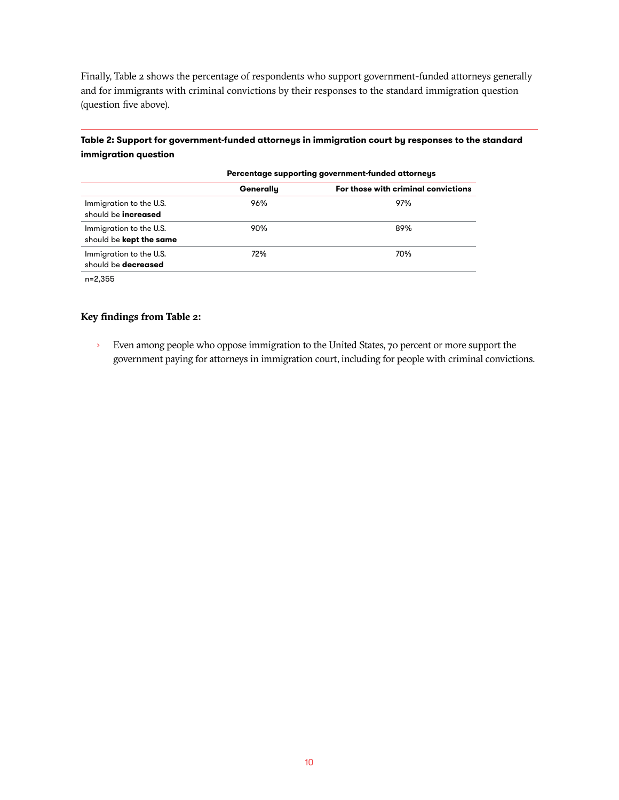Finally, Table 2 shows the percentage of respondents who support government-funded attorneys generally and for immigrants with criminal convictions by their responses to the standard immigration question (question five above).

**Table 2: Support for government-funded attorneys in immigration court by responses to the standard immigration question** 

|                                                       | Percentage supporting government-funded attorneys |                                     |  |
|-------------------------------------------------------|---------------------------------------------------|-------------------------------------|--|
|                                                       | Generally                                         | For those with criminal convictions |  |
| Immigration to the U.S.<br>should be <b>increased</b> | 96%                                               | 97%                                 |  |
| Immigration to the U.S.<br>should be kept the same    | 90%                                               | 89%                                 |  |
| Immigration to the U.S.<br>should be <b>decreased</b> | 72%                                               | 70%                                 |  |
|                                                       |                                                   |                                     |  |

n=2,355

### **Key findings from Table 2:**

› Even among people who oppose immigration to the United States, 70 percent or more support the government paying for attorneys in immigration court, including for people with criminal convictions.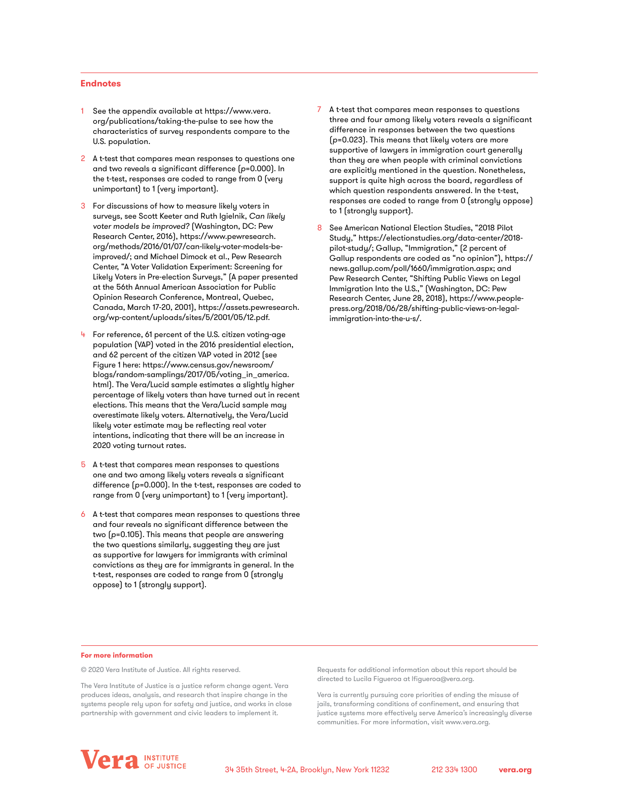### **Endnotes**

- 1 See the appendix available at [https://www.vera.](https://www.vera.org/publications/taking-the-pulse) [org/publications/taking-the-pulse](https://www.vera.org/publications/taking-the-pulse) to see how the characteristics of survey respondents compare to the U.S. population.
- 2 A t-test that compares mean responses to questions one and two reveals a significant difference (*p*=0.000). In the t-test, responses are coded to range from 0 (very unimportant) to 1 (very important).
- 3 For discussions of how to measure likely voters in surveys, see Scott Keeter and Ruth Igielnik, *Can likely voter models be improved?* (Washington, DC: Pew Research Center, 2016), [https://www.pewresearch.](https://www.pewresearch.org/methods/2016/01/07/can-likely-voter-models-be-improved/) [org/methods/2016/01/07/can-likely-voter-models-be](https://www.pewresearch.org/methods/2016/01/07/can-likely-voter-models-be-improved/)[improved/](https://www.pewresearch.org/methods/2016/01/07/can-likely-voter-models-be-improved/); and Michael Dimock et al., Pew Research Center, "A Voter Validation Experiment: Screening for Likely Voters in Pre-election Surveys," (A paper presented at the 56th Annual American Association for Public Opinion Research Conference, Montreal, Quebec, Canada, March 17-20, 2001), [https://assets.pewresearch.](https://assets.pewresearch.org/wp-content/uploads/sites/5/2001/05/12.pdf) [org/wp-content/uploads/sites/5/2001/05/12.pdf](https://assets.pewresearch.org/wp-content/uploads/sites/5/2001/05/12.pdf).
- For reference, 61 percent of the U.S. citizen voting-age population (VAP) voted in the 2016 presidential election, and 62 percent of the citizen VAP voted in 2012 (see Figure 1 here: [https://www.census.gov/newsroom/](https://www.census.gov/newsroom/blogs/random-samplings/2017/05/voting_in_america.html) [blogs/random-samplings/2017/05/voting\\_in\\_america.](https://www.census.gov/newsroom/blogs/random-samplings/2017/05/voting_in_america.html) [html\)](https://www.census.gov/newsroom/blogs/random-samplings/2017/05/voting_in_america.html). The Vera/Lucid sample estimates a slightly higher percentage of likely voters than have turned out in recent elections. This means that the Vera/Lucid sample may overestimate likely voters. Alternatively, the Vera/Lucid likely voter estimate may be reflecting real voter intentions, indicating that there will be an increase in 2020 voting turnout rates.
- 5 A t-test that compares mean responses to questions one and two among likely voters reveals a significant difference (*p*=0.000). In the t-test, responses are coded to range from 0 (very unimportant) to 1 (very important).
- 6 A t-test that compares mean responses to questions three and four reveals no significant difference between the two (*p*=0.105). This means that people are answering the two questions similarly, suggesting they are just as supportive for lawyers for immigrants with criminal convictions as they are for immigrants in general. In the t-test, responses are coded to range from 0 (strongly oppose) to 1 (strongly support).
- 7 A t-test that compares mean responses to questions three and four among likely voters reveals a significant difference in responses between the two questions (*p*=0.023). This means that likely voters are more supportive of lawyers in immigration court generally than they are when people with criminal convictions are explicitly mentioned in the question. Nonetheless, support is quite high across the board, regardless of which question respondents answered. In the t-test, responses are coded to range from 0 (strongly oppose) to 1 (strongly support).
- 8 See American National Election Studies, "2018 Pilot Study," [https://electionstudies.org/data-center/2018](https://electionstudies.org/data-center/2018-pilot-study/) [pilot-study/;](https://electionstudies.org/data-center/2018-pilot-study/) Gallup, "Immigration," (2 percent of Gallup respondents are coded as "no opinion"), [https://](https://news.gallup.com/poll/1660/immigration.aspx) [news.gallup.com/poll/1660/immigration.aspx;](https://news.gallup.com/poll/1660/immigration.aspx) and Pew Research Center, "Shifting Public Views on Legal Immigration Into the U.S.," (Washington, DC: Pew Research Center, June 28, 2018), [https://www.people](https://www.people-press.org/2018/06/28/shifting-public-views-on-legal-immigration-into-the-u-s/)[press.org/2018/06/28/shifting-public-views-on-legal](https://www.people-press.org/2018/06/28/shifting-public-views-on-legal-immigration-into-the-u-s/)[immigration-into-the-u-s/](https://www.people-press.org/2018/06/28/shifting-public-views-on-legal-immigration-into-the-u-s/).

#### **For more information**

© 2020 Vera Institute of Justice. All rights reserved.

The Vera Institute of Justice is a justice reform change agent. Vera produces ideas, analysis, and research that inspire change in the systems people rely upon for safety and justice, and works in close partnership with government and civic leaders to implement it.

Requests for additional information about this report should be directed to Lucila Figueroa at lfigueroa@vera.org.

Vera is currently pursuing core priorities of ending the misuse of jails, transforming conditions of confinement, and ensuring that justice systems more effectively serve America's increasingly diverse communities. For more information, visit www.vera.org.

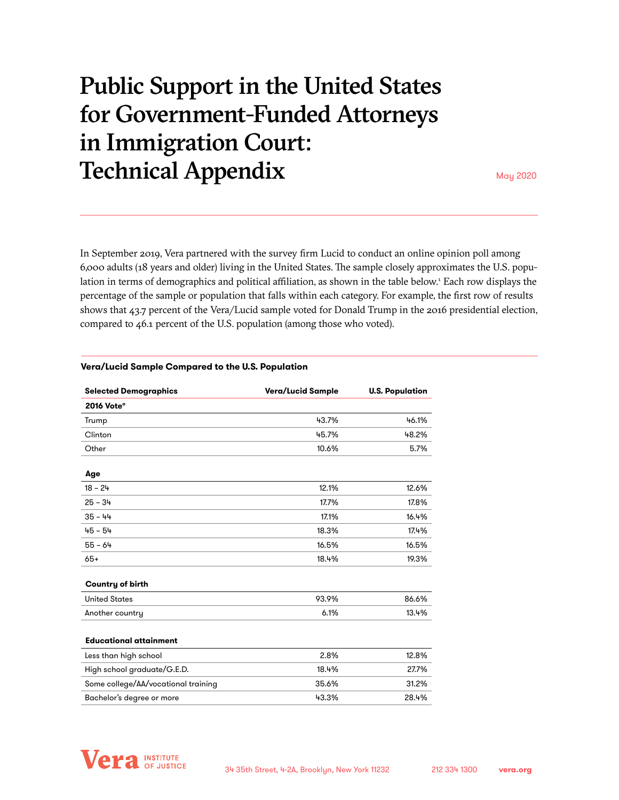# Public Support in the United States for Government-Funded Attorneys in Immigration Court: **Technical Appendix** May 2020

In September 2019, Vera partnered with the survey firm Lucid to conduct an online opinion poll among 6,000 adults (18 years and older) living in the United States. The sample closely approximates the U.S. population in terms of demographics and political affiliation, as shown in the table below.<sup>1</sup> Each row displays the percentage of the sample or population that falls within each category. For example, the first row of results shows that 43.7 percent of the Vera/Lucid sample voted for Donald Trump in the 2016 presidential election, compared to 46.1 percent of the U.S. population (among those who voted).

| <b>Selected Demographics</b>        | Vera/Lucid Sample | <b>U.S. Population</b> |
|-------------------------------------|-------------------|------------------------|
| 2016 Vote <sup>®</sup>              |                   |                        |
| Trump                               | 43.7%             | 46.1%                  |
| Clinton                             | 45.7%             | 48.2%                  |
| Other                               | 10.6%             | 5.7%                   |
| Age                                 |                   |                        |
| $18 - 24$                           | 12.1%             | 12.6%                  |
| $25 - 34$                           | 17.7%             | 17.8%                  |
| $35 - 44$                           | 17.1%             | 16.4%                  |
| $45 - 54$                           | 18.3%             | 17.4%                  |
| $55 - 64$                           | 16.5%             | 16.5%                  |
| $65+$                               | 18.4%             | 19.3%                  |
| Country of birth                    |                   |                        |
| <b>United States</b>                | 93.9%             | 86.6%                  |
| Another country                     | 6.1%              | 13.4%                  |
| <b>Educational attainment</b>       |                   |                        |
| Less than high school               | 2.8%              | 12.8%                  |
| High school graduate/G.E.D.         | 18.4%             | 27.7%                  |
| Some college/AA/vocational training | 35.6%             | 31.2%                  |
| Bachelor's degree or more           | 43.3%             | 28.4%                  |
|                                     |                   |                        |

### **Vera/Lucid Sample Compared to the U.S. Population**

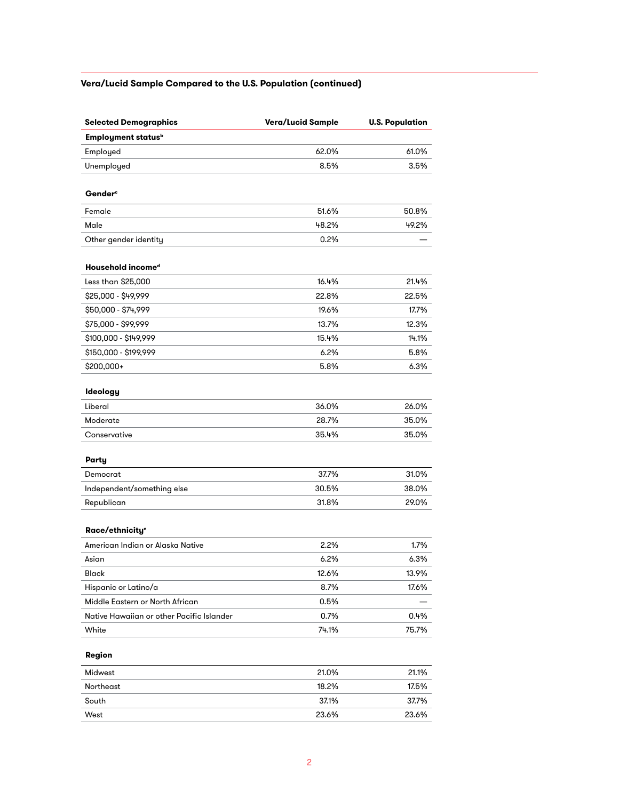## **Vera/Lucid Sample Compared to the U.S. Population (continued)**

| <b>Selected Demographics</b>              | Vera/Lucid Sample | <b>U.S. Population</b> |
|-------------------------------------------|-------------------|------------------------|
| <b>Employment status</b> <sup>b</sup>     |                   |                        |
| Employed                                  | 62.0%             | 61.0%                  |
| Unemployed                                | 8.5%              | 3.5%                   |
| <b>Gender</b> <sup>c</sup>                |                   |                        |
| Female                                    | 51.6%             | 50.8%                  |
| Male                                      | 48.2%             | 49.2%                  |
| Other gender identity                     | 0.2%              |                        |
| Household incomed                         |                   |                        |
| Less than \$25,000                        | 16.4%             | 21.4%                  |
| \$25,000 - \$49,999                       | 22.8%             | 22.5%                  |
| \$50,000 - \$74,999                       | 19.6%             | 17.7%                  |
| \$75,000 - \$99,999                       | 13.7%             | 12.3%                  |
| \$100,000 - \$149,999                     | 15.4%             | 14.1%                  |
| \$150,000 - \$199,999                     | 6.2%              | 5.8%                   |
| \$200,000+                                | 5.8%              | 6.3%                   |
| Ideology                                  |                   |                        |
| Liberal                                   | 36.0%             | 26.0%                  |
| Moderate                                  | 28.7%             | 35.0%                  |
| Conservative                              | 35.4%             | 35.0%                  |
| Party                                     |                   |                        |
| Democrat                                  | 37.7%             | 31.0%                  |
| Independent/something else                | 30.5%             | 38.0%                  |
| Republican                                | 31.8%             | 29.0%                  |
| Race/ethnicity <sup>e</sup>               |                   |                        |
| American Indian or Alaska Native          | 2.2%              | 1.7%                   |
| Asian                                     | 6.2%              | 6.3%                   |
| Black                                     | 12.6%             | 13.9%                  |
| Hispanic or Latino/a                      | 8.7%              | 17.6%                  |
| Middle Eastern or North African           | 0.5%              |                        |
| Native Hawaiian or other Pacific Islander | 0.7%              | 0.4%                   |
| White                                     | 74.1%             | 75.7%                  |
| Region                                    |                   |                        |
| Midwest                                   | 21.0%             | 21.1%                  |
| Northeast                                 | 18.2%             | 17.5%                  |
| South                                     | 37.1%             | 37.7%                  |
| West                                      | 23.6%             | 23.6%                  |
|                                           |                   |                        |